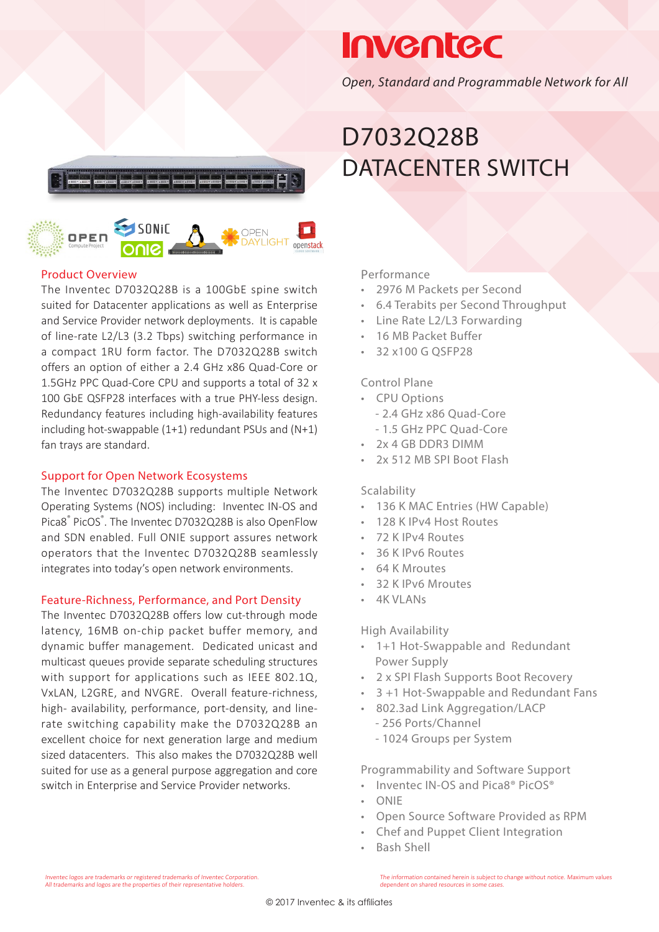

## **Inventec**

*Open, Standard and Programmable Network for All*

### D7032Q28B DATACENTER SWITCH

### OPEN **AYI IGHT**

#### Product Overview

The Inventec D7032Q28B is a 100GbE spine switch suited for Datacenter applications as well as Enterprise and Service Provider network deployments. It is capable of line-rate L2/L3 (3.2 Tbps) switching performance in a compact 1RU form factor. The D7032Q28B switch offers an option of either a 2.4 GHz x86 Quad-Core or 1.5GHz PPC Quad-Core CPU and supports a total of 32 x 100 GbE QSFP28 interfaces with a true PHY-less design. Redundancy features including high-availability features including hot-swappable (1+1) redundant PSUs and (N+1) fan trays are standard.

### Support for Open Network Ecosystems

The Inventec D7032Q28B supports multiple Network Operating Systems (NOS) including: Inventec IN-OS and Pica8<sup>®</sup> PicOS®. The Inventec D7032Q28B is also OpenFlow and SDN enabled. Full ONIE support assures network operators that the Inventec D7032Q28B seamlessly integrates into today's open network environments.

#### Feature-Richness, Performance, and Port Density

The Inventec D7032Q28B offers low cut-through mode latency, 16MB on-chip packet buffer memory, and dynamic buffer management. Dedicated unicast and multicast queues provide separate scheduling structures with support for applications such as IEEE 802.1Q, VxLAN, L2GRE, and NVGRE. Overall feature-richness, high- availability, performance, port-density, and linerate switching capability make the D7032Q28B an excellent choice for next generation large and medium sized datacenters. This also makes the D7032Q28B well suited for use as a general purpose aggregation and core switch in Enterprise and Service Provider networks.

Performance

- 2976 M Packets per Second
- 6.4 Terabits per Second Throughput
- Line Rate L2/L3 Forwarding
- 16 MB Packet Buffer
- 32 x100 G QSFP28

#### Control Plane

- CPU Options
	- 2.4 GHz x86 Quad-Core
	- 1.5 GHz PPC Quad-Core
- 2x 4 GB DDR3 DIMM
- 2x 512 MB SPI Boot Flash

### Scalability

- 136 K MAC Entries (HW Capable)
- 128 K IPv4 Host Routes
- 72 K IPv4 Routes
- 36 K IPv6 Routes
- 64 K Mroutes
- 32 K IPv6 Mroutes
- 4K VLANs

#### High Availability

- 1+1 Hot-Swappable and Redundant Power Supply
- 2 x SPI Flash Supports Boot Recovery
- 3 +1 Hot-Swappable and Redundant Fans
- 802.3ad Link Aggregation/LACP
	- 256 Ports/Channel
	- 1024 Groups per System

Programmability and Software Support

- Inventec IN-OS and Pica8® PicOS®
- ONIE
- Open Source Software Provided as RPM
- Chef and Puppet Client Integration
- Bash Shell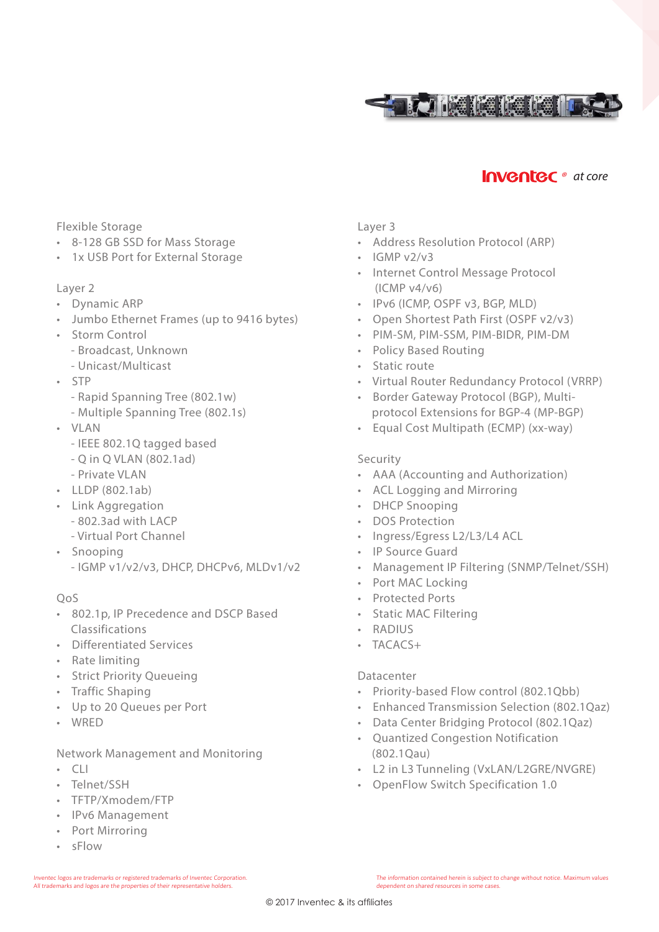

### **Inventec** • at core

#### Flexible Storage

- 8-128 GB SSD for Mass Storage
- 1x USB Port for External Storage

#### Layer 2

- Dynamic ARP
- Jumbo Ethernet Frames (up to 9416 bytes)
- Storm Control
	- Broadcast, Unknown
	- Unicast/Multicast
- STP
	- Rapid Spanning Tree (802.1w)
	- Multiple Spanning Tree (802.1s)
- VLAN
	- IEEE 802.1Q tagged based
	- Q in Q VLAN (802.1ad)
	- Private VLAN
- LLDP (802.1ab)
- Link Aggregation
	- 802.3ad with LACP
	- Virtual Port Channel
- Snooping - IGMP v1/v2/v3, DHCP, DHCPv6, MLDv1/v2

#### QoS

- 802.1p, IP Precedence and DSCP Based Classifications
- Differentiated Services
- Rate limiting
- Strict Priority Queueing
- Traffic Shaping
- Up to 20 Queues per Port
- WRED

#### Network Management and Monitoring

- $\cdot$  CLI
- Telnet/SSH
- TFTP/Xmodem/FTP
- IPv6 Management
- Port Mirroring
- sFlow

#### Layer 3

- Address Resolution Protocol (ARP)
- $\cdot$  IGMP v2/v3
- Internet Control Message Protocol (ICMP v4/v6)
- IPv6 (ICMP, OSPF v3, BGP, MLD)
- Open Shortest Path First (OSPF v2/v3)
- PIM-SM, PIM-SSM, PIM-BIDR, PIM-DM
- Policy Based Routing
- Static route
- Virtual Router Redundancy Protocol (VRRP)
- Border Gateway Protocol (BGP), Multi protocol Extensions for BGP-4 (MP-BGP)
- Equal Cost Multipath (ECMP) (xx-way)

#### Security

- AAA (Accounting and Authorization)
- ACL Logging and Mirroring
- DHCP Snooping
- DOS Protection
- Ingress/Egress L2/L3/L4 ACL
- IP Source Guard
- Management IP Filtering (SNMP/Telnet/SSH)
- Port MAC Locking
- Protected Ports
- Static MAC Filtering
- RADIUS
- TACACS+

#### **Datacenter**

- Priority-based Flow control (802.1Qbb)
- Enhanced Transmission Selection (802.1Qaz)
- Data Center Bridging Protocol (802.1Qaz)
- Quantized Congestion Notification (802.1Qau)
- L2 in L3 Tunneling (VxLAN/L2GRE/NVGRE)
- OpenFlow Switch Specification 1.0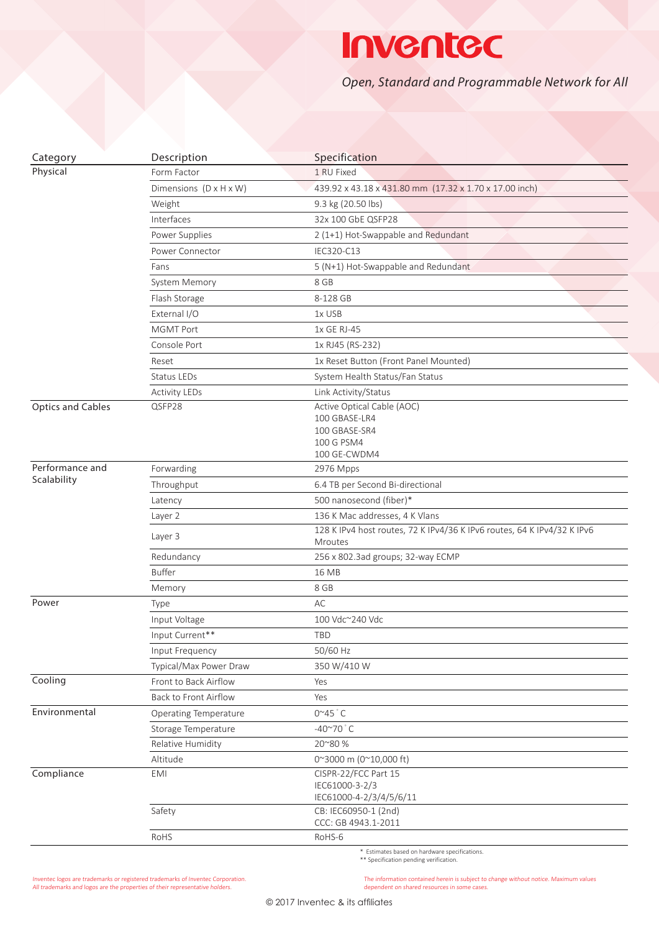## **Inventec**

*Open, Standard and Programmable Network for All*

| Category                 | Description                  | Specification                                                                              |
|--------------------------|------------------------------|--------------------------------------------------------------------------------------------|
| Physical                 | Form Factor                  | 1 RU Fixed                                                                                 |
|                          | Dimensions (D x H x W)       | 439.92 x 43.18 x 431.80 mm (17.32 x 1.70 x 17.00 inch)                                     |
|                          | Weight                       | 9.3 kg (20.50 lbs)                                                                         |
|                          | Interfaces                   | 32x 100 GbE QSFP28                                                                         |
|                          | Power Supplies               | 2 (1+1) Hot-Swappable and Redundant                                                        |
|                          | Power Connector              | IEC320-C13                                                                                 |
|                          | Fans                         | 5 (N+1) Hot-Swappable and Redundant                                                        |
|                          | System Memory                | 8 GB                                                                                       |
|                          | Flash Storage                | 8-128 GB                                                                                   |
|                          | External I/O                 | 1x USB                                                                                     |
|                          | <b>MGMT Port</b>             | 1x GE RJ-45                                                                                |
|                          | Console Port                 | 1x RJ45 (RS-232)                                                                           |
|                          | Reset                        | 1x Reset Button (Front Panel Mounted)                                                      |
|                          | Status LEDs                  | System Health Status/Fan Status                                                            |
|                          | <b>Activity LEDs</b>         | Link Activity/Status                                                                       |
| <b>Optics and Cables</b> | QSFP28                       | Active Optical Cable (AOC)<br>100 GBASE-LR4<br>100 GBASE-SR4<br>100 G PSM4<br>100 GE-CWDM4 |
| Performance and          | Forwarding                   | 2976 Mpps                                                                                  |
| Scalability              | Throughput                   | 6.4 TB per Second Bi-directional                                                           |
|                          | Latency                      | 500 nanosecond (fiber)*                                                                    |
|                          | Layer 2                      | 136 K Mac addresses, 4 K Vlans                                                             |
|                          | Layer 3                      | 128 K IPv4 host routes, 72 K IPv4/36 K IPv6 routes, 64 K IPv4/32 K IPv6<br>Mroutes         |
|                          | Redundancy                   | 256 x 802.3ad groups; 32-way ECMP                                                          |
|                          | <b>Buffer</b>                | 16 MB                                                                                      |
|                          | Memory                       | 8 GB                                                                                       |
| Power                    | Type                         | AC                                                                                         |
|                          | Input Voltage                | 100 Vdc~240 Vdc                                                                            |
|                          | Input Current**              | <b>TBD</b>                                                                                 |
|                          | Input Frequency              | 50/60 Hz                                                                                   |
|                          | Typical/Max Power Draw       | 350 W/410 W                                                                                |
| Cooling                  | Front to Back Airflow        | Yes                                                                                        |
|                          | Back to Front Airflow        | Yes                                                                                        |
| Environmental            | <b>Operating Temperature</b> | $0^{\sim}45$ $^{\circ}$ C                                                                  |
|                          | Storage Temperature          | $-40^{\circ}70^{\circ}$ C                                                                  |
|                          | Relative Humidity            | 20~80 %                                                                                    |
|                          | Altitude                     | 0~3000 m (0~10,000 ft)                                                                     |
| Compliance               | <b>EMI</b>                   | CISPR-22/FCC Part 15<br>IEC61000-3-2/3<br>IEC61000-4-2/3/4/5/6/11                          |
|                          | Safety                       | CB: IEC60950-1 (2nd)<br>CCC: GB 4943.1-2011                                                |
|                          | RoHS                         | RoHS-6                                                                                     |

\* Estimates based on hardware specifications. \*\* Specification pending verification.

Inventec logos are trademarks or registered trademarks of Inventec Corporation. All trademarks and logos are the properties of their representative holders.

The information contained herein is subject to change without notice. Maximum values dependent on shared resources in some cases.